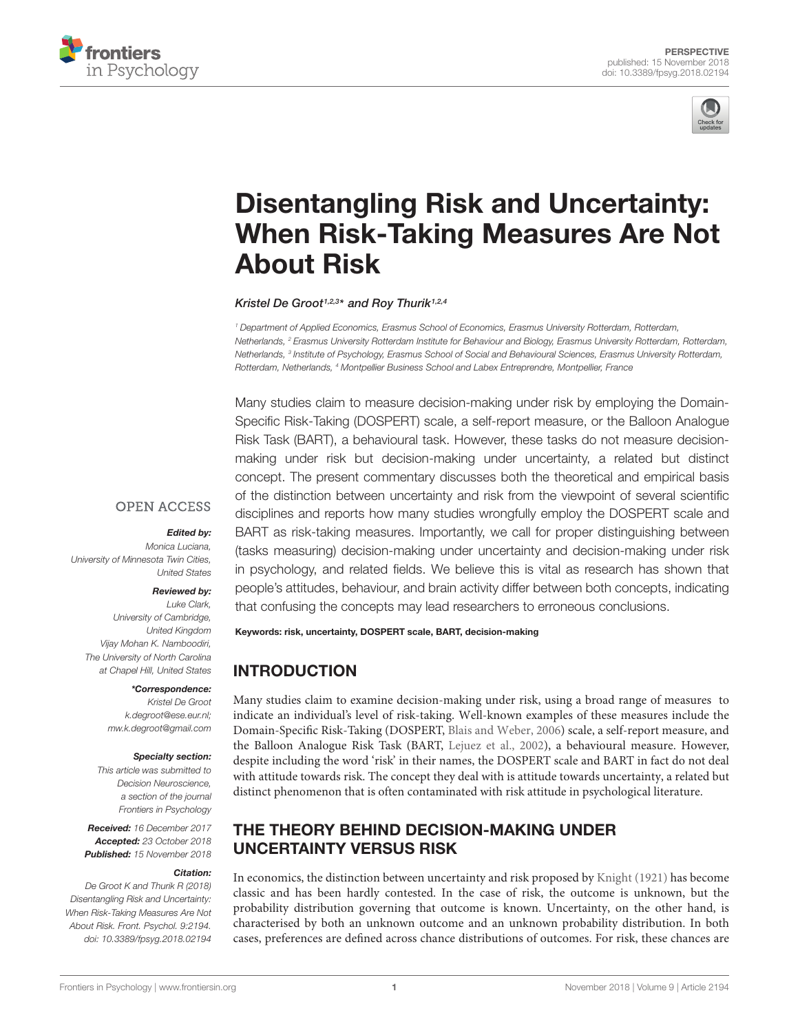



# Disentangling Risk and Uncertainty: [When Risk-Taking Measures Are Not](https://www.frontiersin.org/articles/10.3389/fpsyg.2018.02194/full) About Risk

[Kristel De Groot](http://loop.frontiersin.org/people/508550/overview)<sup>1,2,3</sup>\* and [Roy Thurik](http://loop.frontiersin.org/people/632719/overview)<sup>1,2,4</sup>

<sup>1</sup> Department of Applied Economics, Erasmus School of Economics, Erasmus University Rotterdam, Rotterdam, Netherlands, <sup>2</sup> Erasmus University Rotterdam Institute for Behaviour and Biology, Erasmus University Rotterdam, Rotterdam, Netherlands, <sup>3</sup> Institute of Psychology, Erasmus School of Social and Behavioural Sciences, Erasmus University Rotterdam, Rotterdam, Netherlands, <sup>4</sup> Montpellier Business School and Labex Entreprendre, Montpellier, France

Many studies claim to measure decision-making under risk by employing the Domain-Specific Risk-Taking (DOSPERT) scale, a self-report measure, or the Balloon Analogue Risk Task (BART), a behavioural task. However, these tasks do not measure decisionmaking under risk but decision-making under uncertainty, a related but distinct concept. The present commentary discusses both the theoretical and empirical basis of the distinction between uncertainty and risk from the viewpoint of several scientific disciplines and reports how many studies wrongfully employ the DOSPERT scale and BART as risk-taking measures. Importantly, we call for proper distinguishing between (tasks measuring) decision-making under uncertainty and decision-making under risk in psychology, and related fields. We believe this is vital as research has shown that people's attitudes, behaviour, and brain activity differ between both concepts, indicating that confusing the concepts may lead researchers to erroneous conclusions.

#### Edited by:

**OPEN ACCESS** 

Monica Luciana, University of Minnesota Twin Cities, United States

#### Reviewed by:

Luke Clark, University of Cambridge, United Kingdom Vijay Mohan K. Namboodiri, The University of North Carolina at Chapel Hill, United States

#### \*Correspondence:

Kristel De Groot k.degroot@ese.eur.nl; mw.k.degroot@gmail.com

#### Specialty section:

This article was submitted to Decision Neuroscience, a section of the journal Frontiers in Psychology

Received: 16 December 2017 Accepted: 23 October 2018 Published: 15 November 2018

#### Citation:

De Groot K and Thurik R (2018) Disentangling Risk and Uncertainty: When Risk-Taking Measures Are Not About Risk. Front. Psychol. 9:2194. doi: [10.3389/fpsyg.2018.02194](https://doi.org/10.3389/fpsyg.2018.02194)

Keywords: risk, uncertainty, DOSPERT scale, BART, decision-making

# INTRODUCTION

Many studies claim to examine decision-making under risk, using a broad range of measures to indicate an individual's level of risk-taking. Well-known examples of these measures include the Domain-Specific Risk-Taking (DOSPERT, [Blais and Weber,](#page-5-0) [2006\)](#page-5-0) scale, a self-report measure, and the Balloon Analogue Risk Task (BART, [Lejuez et al.,](#page-5-1) [2002\)](#page-5-1), a behavioural measure. However, despite including the word 'risk' in their names, the DOSPERT scale and BART in fact do not deal with attitude towards risk. The concept they deal with is attitude towards uncertainty, a related but distinct phenomenon that is often contaminated with risk attitude in psychological literature.

# THE THEORY BEHIND DECISION-MAKING UNDER UNCERTAINTY VERSUS RISK

In economics, the distinction between uncertainty and risk proposed by [Knight](#page-5-2) [\(1921\)](#page-5-2) has become classic and has been hardly contested. In the case of risk, the outcome is unknown, but the probability distribution governing that outcome is known. Uncertainty, on the other hand, is characterised by both an unknown outcome and an unknown probability distribution. In both cases, preferences are defined across chance distributions of outcomes. For risk, these chances are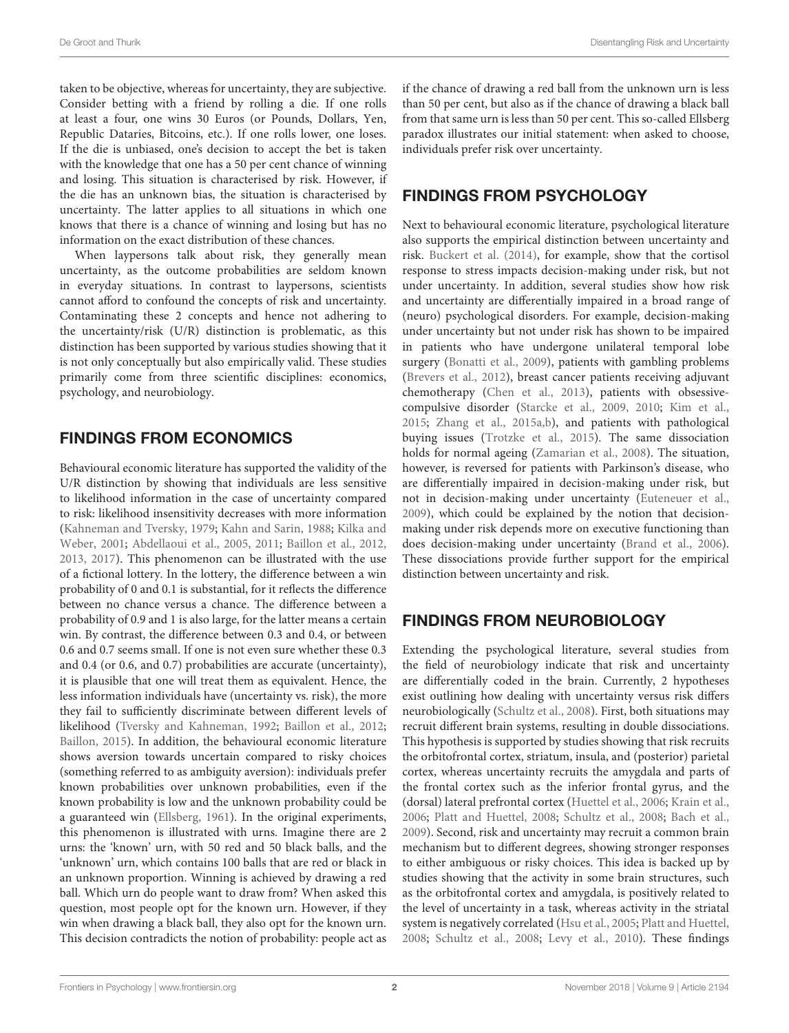taken to be objective, whereas for uncertainty, they are subjective. Consider betting with a friend by rolling a die. If one rolls at least a four, one wins 30 Euros (or Pounds, Dollars, Yen, Republic Dataries, Bitcoins, etc.). If one rolls lower, one loses. If the die is unbiased, one's decision to accept the bet is taken with the knowledge that one has a 50 per cent chance of winning and losing. This situation is characterised by risk. However, if the die has an unknown bias, the situation is characterised by uncertainty. The latter applies to all situations in which one knows that there is a chance of winning and losing but has no information on the exact distribution of these chances.

When laypersons talk about risk, they generally mean uncertainty, as the outcome probabilities are seldom known in everyday situations. In contrast to laypersons, scientists cannot afford to confound the concepts of risk and uncertainty. Contaminating these 2 concepts and hence not adhering to the uncertainty/risk (U/R) distinction is problematic, as this distinction has been supported by various studies showing that it is not only conceptually but also empirically valid. These studies primarily come from three scientific disciplines: economics, psychology, and neurobiology.

### FINDINGS FROM ECONOMICS

Behavioural economic literature has supported the validity of the U/R distinction by showing that individuals are less sensitive to likelihood information in the case of uncertainty compared to risk: likelihood insensitivity decreases with more information [\(Kahneman and Tversky,](#page-5-3) [1979;](#page-5-3) [Kahn and Sarin,](#page-5-4) [1988;](#page-5-4) [Kilka and](#page-5-5) [Weber,](#page-5-5) [2001;](#page-5-5) [Abdellaoui et al.,](#page-5-6) [2005,](#page-5-6) [2011;](#page-5-7) [Baillon et al.,](#page-5-8) [2012,](#page-5-8) [2013,](#page-5-9) [2017\)](#page-5-10). This phenomenon can be illustrated with the use of a fictional lottery. In the lottery, the difference between a win probability of 0 and 0.1 is substantial, for it reflects the difference between no chance versus a chance. The difference between a probability of 0.9 and 1 is also large, for the latter means a certain win. By contrast, the difference between 0.3 and 0.4, or between 0.6 and 0.7 seems small. If one is not even sure whether these 0.3 and 0.4 (or 0.6, and 0.7) probabilities are accurate (uncertainty), it is plausible that one will treat them as equivalent. Hence, the less information individuals have (uncertainty vs. risk), the more they fail to sufficiently discriminate between different levels of likelihood [\(Tversky and Kahneman,](#page-6-0) [1992;](#page-6-0) [Baillon et al.,](#page-5-8) [2012;](#page-5-8) [Baillon,](#page-5-11) [2015\)](#page-5-11). In addition, the behavioural economic literature shows aversion towards uncertain compared to risky choices (something referred to as ambiguity aversion): individuals prefer known probabilities over unknown probabilities, even if the known probability is low and the unknown probability could be a guaranteed win [\(Ellsberg,](#page-5-12) [1961\)](#page-5-12). In the original experiments, this phenomenon is illustrated with urns. Imagine there are 2 urns: the 'known' urn, with 50 red and 50 black balls, and the 'unknown' urn, which contains 100 balls that are red or black in an unknown proportion. Winning is achieved by drawing a red ball. Which urn do people want to draw from? When asked this question, most people opt for the known urn. However, if they win when drawing a black ball, they also opt for the known urn. This decision contradicts the notion of probability: people act as

if the chance of drawing a red ball from the unknown urn is less than 50 per cent, but also as if the chance of drawing a black ball from that same urn is less than 50 per cent. This so-called Ellsberg paradox illustrates our initial statement: when asked to choose, individuals prefer risk over uncertainty.

### FINDINGS FROM PSYCHOLOGY

Next to behavioural economic literature, psychological literature also supports the empirical distinction between uncertainty and risk. [Buckert et al.](#page-5-13) [\(2014\)](#page-5-13), for example, show that the cortisol response to stress impacts decision-making under risk, but not under uncertainty. In addition, several studies show how risk and uncertainty are differentially impaired in a broad range of (neuro) psychological disorders. For example, decision-making under uncertainty but not under risk has shown to be impaired in patients who have undergone unilateral temporal lobe surgery [\(Bonatti et al.,](#page-5-14) [2009\)](#page-5-14), patients with gambling problems [\(Brevers et al.,](#page-5-15) [2012\)](#page-5-15), breast cancer patients receiving adjuvant chemotherapy [\(Chen et al.,](#page-5-16) [2013\)](#page-5-16), patients with obsessivecompulsive disorder [\(Starcke et al.,](#page-5-17) [2009,](#page-5-17) [2010;](#page-5-18) [Kim et al.,](#page-5-19) [2015;](#page-5-19) [Zhang et al.,](#page-6-1) [2015a](#page-6-1)[,b\)](#page-6-2), and patients with pathological buying issues [\(Trotzke et al.,](#page-6-3) [2015\)](#page-6-3). The same dissociation holds for normal ageing [\(Zamarian et al.,](#page-6-4) [2008\)](#page-6-4). The situation, however, is reversed for patients with Parkinson's disease, who are differentially impaired in decision-making under risk, but not in decision-making under uncertainty [\(Euteneuer et al.,](#page-5-20) [2009\)](#page-5-20), which could be explained by the notion that decisionmaking under risk depends more on executive functioning than does decision-making under uncertainty [\(Brand et al.,](#page-5-21) [2006\)](#page-5-21). These dissociations provide further support for the empirical distinction between uncertainty and risk.

# FINDINGS FROM NEUROBIOLOGY

Extending the psychological literature, several studies from the field of neurobiology indicate that risk and uncertainty are differentially coded in the brain. Currently, 2 hypotheses exist outlining how dealing with uncertainty versus risk differs neurobiologically [\(Schultz et al.,](#page-5-22) [2008\)](#page-5-22). First, both situations may recruit different brain systems, resulting in double dissociations. This hypothesis is supported by studies showing that risk recruits the orbitofrontal cortex, striatum, insula, and (posterior) parietal cortex, whereas uncertainty recruits the amygdala and parts of the frontal cortex such as the inferior frontal gyrus, and the (dorsal) lateral prefrontal cortex [\(Huettel et al.,](#page-5-23) [2006;](#page-5-23) [Krain et al.,](#page-5-24) [2006;](#page-5-24) [Platt and Huettel,](#page-5-25) [2008;](#page-5-25) [Schultz et al.,](#page-5-22) [2008;](#page-5-22) [Bach et al.,](#page-5-26) [2009\)](#page-5-26). Second, risk and uncertainty may recruit a common brain mechanism but to different degrees, showing stronger responses to either ambiguous or risky choices. This idea is backed up by studies showing that the activity in some brain structures, such as the orbitofrontal cortex and amygdala, is positively related to the level of uncertainty in a task, whereas activity in the striatal system is negatively correlated [\(Hsu et al.,](#page-5-27) [2005;](#page-5-27) [Platt and Huettel,](#page-5-25) [2008;](#page-5-25) [Schultz et al.,](#page-5-22) [2008;](#page-5-22) [Levy et al.,](#page-5-28) [2010\)](#page-5-28). These findings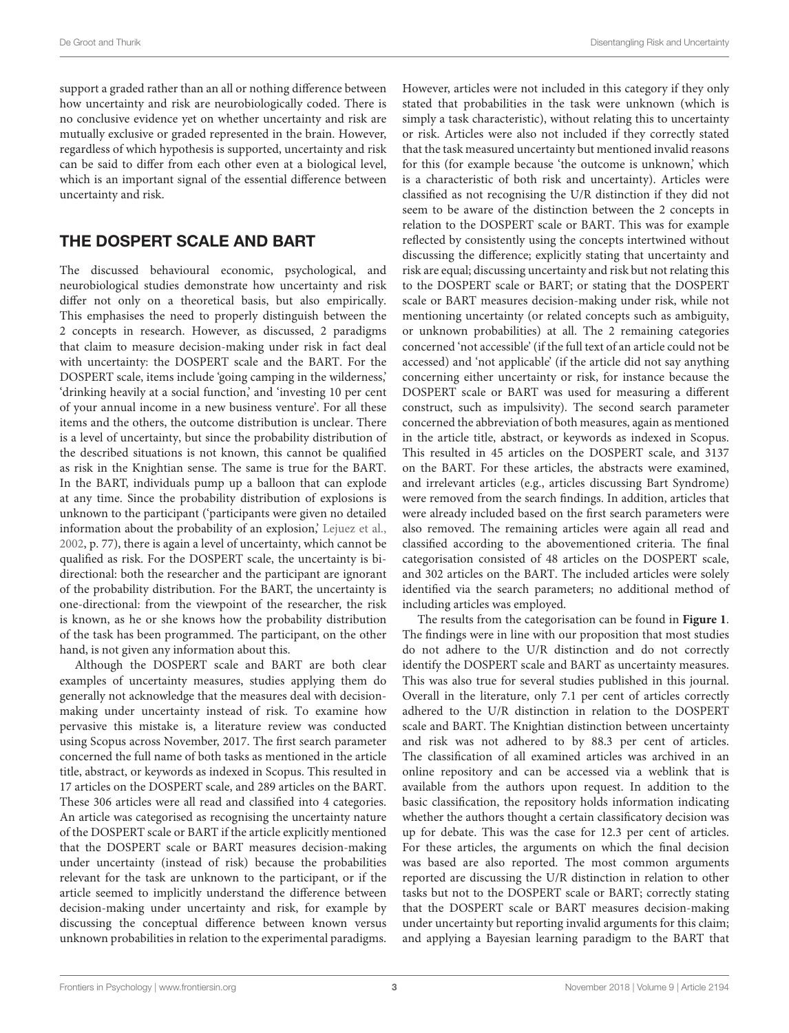support a graded rather than an all or nothing difference between how uncertainty and risk are neurobiologically coded. There is no conclusive evidence yet on whether uncertainty and risk are mutually exclusive or graded represented in the brain. However, regardless of which hypothesis is supported, uncertainty and risk can be said to differ from each other even at a biological level, which is an important signal of the essential difference between uncertainty and risk.

#### THE DOSPERT SCALE AND BART

The discussed behavioural economic, psychological, and neurobiological studies demonstrate how uncertainty and risk differ not only on a theoretical basis, but also empirically. This emphasises the need to properly distinguish between the 2 concepts in research. However, as discussed, 2 paradigms that claim to measure decision-making under risk in fact deal with uncertainty: the DOSPERT scale and the BART. For the DOSPERT scale, items include 'going camping in the wilderness,' 'drinking heavily at a social function,' and 'investing 10 per cent of your annual income in a new business venture'. For all these items and the others, the outcome distribution is unclear. There is a level of uncertainty, but since the probability distribution of the described situations is not known, this cannot be qualified as risk in the Knightian sense. The same is true for the BART. In the BART, individuals pump up a balloon that can explode at any time. Since the probability distribution of explosions is unknown to the participant ('participants were given no detailed information about the probability of an explosion,' [Lejuez et al.,](#page-5-1) [2002,](#page-5-1) p. 77), there is again a level of uncertainty, which cannot be qualified as risk. For the DOSPERT scale, the uncertainty is bidirectional: both the researcher and the participant are ignorant of the probability distribution. For the BART, the uncertainty is one-directional: from the viewpoint of the researcher, the risk is known, as he or she knows how the probability distribution of the task has been programmed. The participant, on the other hand, is not given any information about this.

Although the DOSPERT scale and BART are both clear examples of uncertainty measures, studies applying them do generally not acknowledge that the measures deal with decisionmaking under uncertainty instead of risk. To examine how pervasive this mistake is, a literature review was conducted using Scopus across November, 2017. The first search parameter concerned the full name of both tasks as mentioned in the article title, abstract, or keywords as indexed in Scopus. This resulted in 17 articles on the DOSPERT scale, and 289 articles on the BART. These 306 articles were all read and classified into 4 categories. An article was categorised as recognising the uncertainty nature of the DOSPERT scale or BART if the article explicitly mentioned that the DOSPERT scale or BART measures decision-making under uncertainty (instead of risk) because the probabilities relevant for the task are unknown to the participant, or if the article seemed to implicitly understand the difference between decision-making under uncertainty and risk, for example by discussing the conceptual difference between known versus unknown probabilities in relation to the experimental paradigms.

However, articles were not included in this category if they only stated that probabilities in the task were unknown (which is simply a task characteristic), without relating this to uncertainty or risk. Articles were also not included if they correctly stated that the task measured uncertainty but mentioned invalid reasons for this (for example because 'the outcome is unknown,' which is a characteristic of both risk and uncertainty). Articles were classified as not recognising the U/R distinction if they did not seem to be aware of the distinction between the 2 concepts in relation to the DOSPERT scale or BART. This was for example reflected by consistently using the concepts intertwined without discussing the difference; explicitly stating that uncertainty and risk are equal; discussing uncertainty and risk but not relating this to the DOSPERT scale or BART; or stating that the DOSPERT scale or BART measures decision-making under risk, while not mentioning uncertainty (or related concepts such as ambiguity, or unknown probabilities) at all. The 2 remaining categories concerned 'not accessible' (if the full text of an article could not be accessed) and 'not applicable' (if the article did not say anything concerning either uncertainty or risk, for instance because the DOSPERT scale or BART was used for measuring a different construct, such as impulsivity). The second search parameter concerned the abbreviation of both measures, again as mentioned in the article title, abstract, or keywords as indexed in Scopus. This resulted in 45 articles on the DOSPERT scale, and 3137 on the BART. For these articles, the abstracts were examined, and irrelevant articles (e.g., articles discussing Bart Syndrome) were removed from the search findings. In addition, articles that were already included based on the first search parameters were also removed. The remaining articles were again all read and classified according to the abovementioned criteria. The final categorisation consisted of 48 articles on the DOSPERT scale, and 302 articles on the BART. The included articles were solely identified via the search parameters; no additional method of including articles was employed.

The results from the categorisation can be found in **[Figure 1](#page-3-0)**. The findings were in line with our proposition that most studies do not adhere to the U/R distinction and do not correctly identify the DOSPERT scale and BART as uncertainty measures. This was also true for several studies published in this journal. Overall in the literature, only 7.1 per cent of articles correctly adhered to the U/R distinction in relation to the DOSPERT scale and BART. The Knightian distinction between uncertainty and risk was not adhered to by 88.3 per cent of articles. The classification of all examined articles was archived in an online repository and can be accessed via a weblink that is available from the authors upon request. In addition to the basic classification, the repository holds information indicating whether the authors thought a certain classificatory decision was up for debate. This was the case for 12.3 per cent of articles. For these articles, the arguments on which the final decision was based are also reported. The most common arguments reported are discussing the U/R distinction in relation to other tasks but not to the DOSPERT scale or BART; correctly stating that the DOSPERT scale or BART measures decision-making under uncertainty but reporting invalid arguments for this claim; and applying a Bayesian learning paradigm to the BART that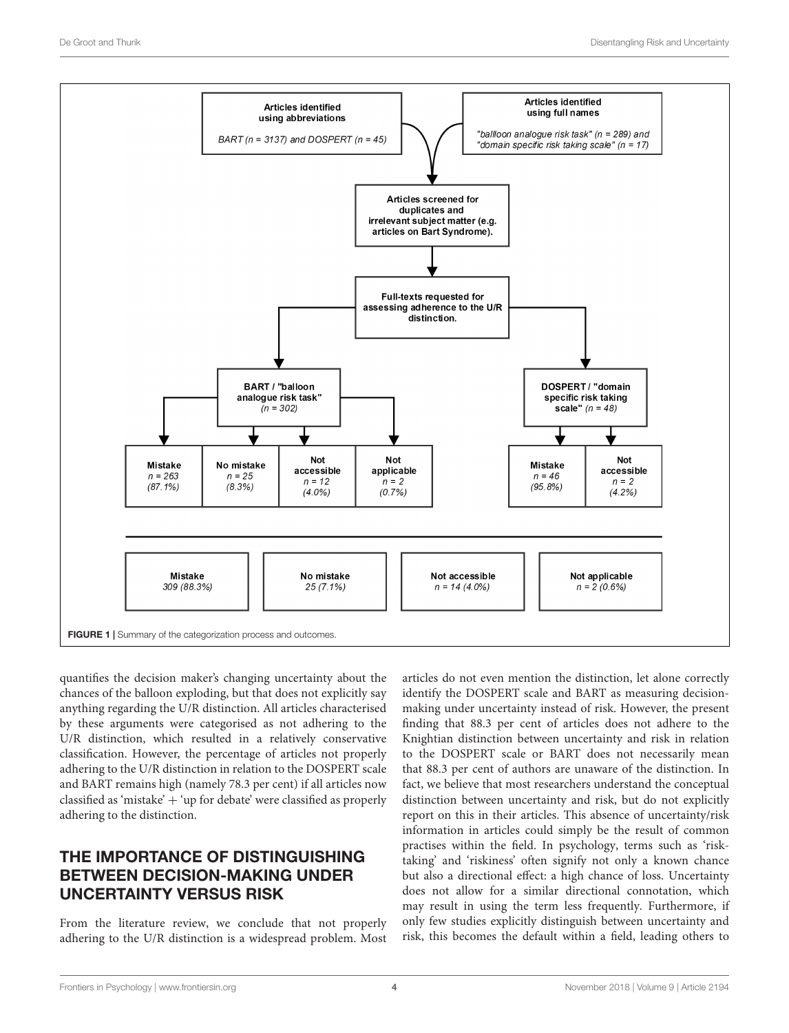

<span id="page-3-0"></span>quantifies the decision maker's changing uncertainty about the chances of the balloon exploding, but that does not explicitly say anything regarding the U/R distinction. All articles characterised by these arguments were categorised as not adhering to the U/R distinction, which resulted in a relatively conservative classification. However, the percentage of articles not properly adhering to the U/R distinction in relation to the DOSPERT scale and BART remains high (namely 78.3 per cent) if all articles now classified as 'mistake' + 'up for debate' were classified as properly adhering to the distinction.

# THE IMPORTANCE OF DISTINGUISHING BETWEEN DECISION-MAKING UNDER UNCERTAINTY VERSUS RISK

From the literature review, we conclude that not properly adhering to the U/R distinction is a widespread problem. Most articles do not even mention the distinction, let alone correctly identify the DOSPERT scale and BART as measuring decisionmaking under uncertainty instead of risk. However, the present finding that 88.3 per cent of articles does not adhere to the Knightian distinction between uncertainty and risk in relation to the DOSPERT scale or BART does not necessarily mean that 88.3 per cent of authors are unaware of the distinction. In fact, we believe that most researchers understand the conceptual distinction between uncertainty and risk, but do not explicitly report on this in their articles. This absence of uncertainty/risk information in articles could simply be the result of common practises within the field. In psychology, terms such as 'risktaking' and 'riskiness' often signify not only a known chance but also a directional effect: a high chance of loss. Uncertainty does not allow for a similar directional connotation, which may result in using the term less frequently. Furthermore, if only few studies explicitly distinguish between uncertainty and risk, this becomes the default within a field, leading others to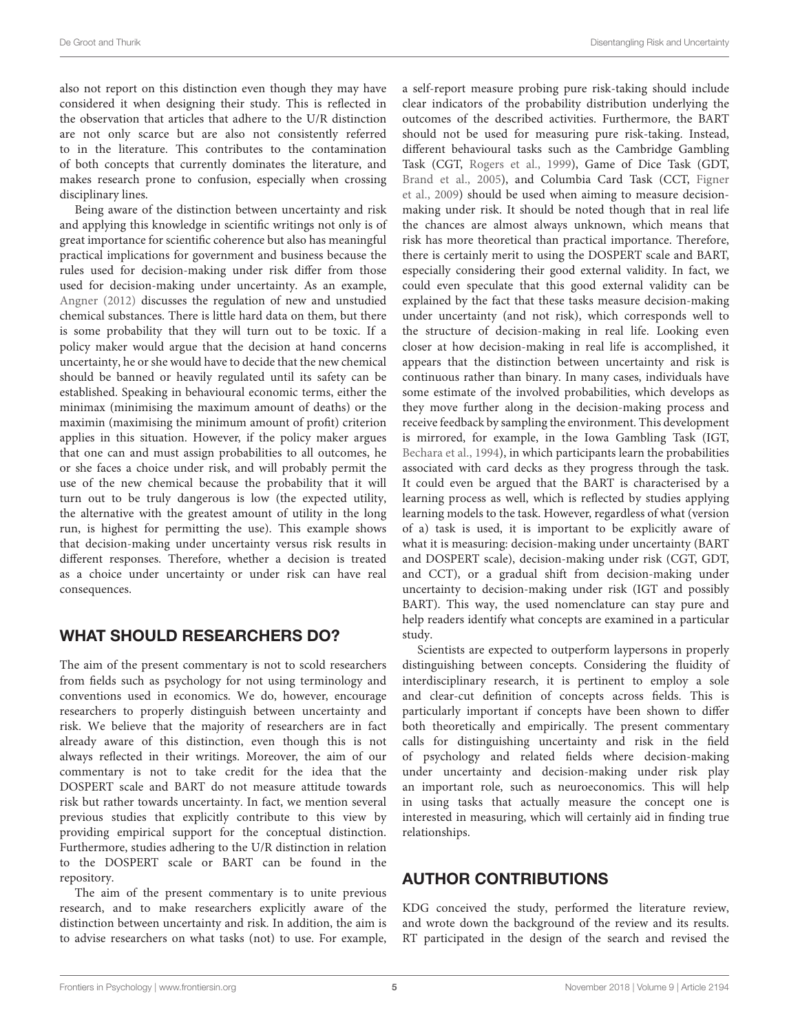also not report on this distinction even though they may have considered it when designing their study. This is reflected in the observation that articles that adhere to the U/R distinction are not only scarce but are also not consistently referred to in the literature. This contributes to the contamination of both concepts that currently dominates the literature, and makes research prone to confusion, especially when crossing disciplinary lines.

Being aware of the distinction between uncertainty and risk and applying this knowledge in scientific writings not only is of great importance for scientific coherence but also has meaningful practical implications for government and business because the rules used for decision-making under risk differ from those used for decision-making under uncertainty. As an example, [Angner](#page-5-29) [\(2012\)](#page-5-29) discusses the regulation of new and unstudied chemical substances. There is little hard data on them, but there is some probability that they will turn out to be toxic. If a policy maker would argue that the decision at hand concerns uncertainty, he or she would have to decide that the new chemical should be banned or heavily regulated until its safety can be established. Speaking in behavioural economic terms, either the minimax (minimising the maximum amount of deaths) or the maximin (maximising the minimum amount of profit) criterion applies in this situation. However, if the policy maker argues that one can and must assign probabilities to all outcomes, he or she faces a choice under risk, and will probably permit the use of the new chemical because the probability that it will turn out to be truly dangerous is low (the expected utility, the alternative with the greatest amount of utility in the long run, is highest for permitting the use). This example shows that decision-making under uncertainty versus risk results in different responses. Therefore, whether a decision is treated as a choice under uncertainty or under risk can have real consequences.

### WHAT SHOULD RESEARCHERS DO?

The aim of the present commentary is not to scold researchers from fields such as psychology for not using terminology and conventions used in economics. We do, however, encourage researchers to properly distinguish between uncertainty and risk. We believe that the majority of researchers are in fact already aware of this distinction, even though this is not always reflected in their writings. Moreover, the aim of our commentary is not to take credit for the idea that the DOSPERT scale and BART do not measure attitude towards risk but rather towards uncertainty. In fact, we mention several previous studies that explicitly contribute to this view by providing empirical support for the conceptual distinction. Furthermore, studies adhering to the U/R distinction in relation to the DOSPERT scale or BART can be found in the repository.

The aim of the present commentary is to unite previous research, and to make researchers explicitly aware of the distinction between uncertainty and risk. In addition, the aim is to advise researchers on what tasks (not) to use. For example,

a self-report measure probing pure risk-taking should include clear indicators of the probability distribution underlying the outcomes of the described activities. Furthermore, the BART should not be used for measuring pure risk-taking. Instead, different behavioural tasks such as the Cambridge Gambling Task (CGT, [Rogers et al.,](#page-5-30) [1999\)](#page-5-30), Game of Dice Task (GDT, [Brand et al.,](#page-5-31) [2005\)](#page-5-31), and Columbia Card Task (CCT, [Figner](#page-5-32) [et al.,](#page-5-32) [2009\)](#page-5-32) should be used when aiming to measure decisionmaking under risk. It should be noted though that in real life the chances are almost always unknown, which means that risk has more theoretical than practical importance. Therefore, there is certainly merit to using the DOSPERT scale and BART, especially considering their good external validity. In fact, we could even speculate that this good external validity can be explained by the fact that these tasks measure decision-making under uncertainty (and not risk), which corresponds well to the structure of decision-making in real life. Looking even closer at how decision-making in real life is accomplished, it appears that the distinction between uncertainty and risk is continuous rather than binary. In many cases, individuals have some estimate of the involved probabilities, which develops as they move further along in the decision-making process and receive feedback by sampling the environment. This development is mirrored, for example, in the Iowa Gambling Task (IGT, [Bechara et al.,](#page-5-33) [1994\)](#page-5-33), in which participants learn the probabilities associated with card decks as they progress through the task. It could even be argued that the BART is characterised by a learning process as well, which is reflected by studies applying learning models to the task. However, regardless of what (version of a) task is used, it is important to be explicitly aware of what it is measuring: decision-making under uncertainty (BART and DOSPERT scale), decision-making under risk (CGT, GDT, and CCT), or a gradual shift from decision-making under uncertainty to decision-making under risk (IGT and possibly BART). This way, the used nomenclature can stay pure and help readers identify what concepts are examined in a particular study.

Scientists are expected to outperform laypersons in properly distinguishing between concepts. Considering the fluidity of interdisciplinary research, it is pertinent to employ a sole and clear-cut definition of concepts across fields. This is particularly important if concepts have been shown to differ both theoretically and empirically. The present commentary calls for distinguishing uncertainty and risk in the field of psychology and related fields where decision-making under uncertainty and decision-making under risk play an important role, such as neuroeconomics. This will help in using tasks that actually measure the concept one is interested in measuring, which will certainly aid in finding true relationships.

### AUTHOR CONTRIBUTIONS

KDG conceived the study, performed the literature review, and wrote down the background of the review and its results. RT participated in the design of the search and revised the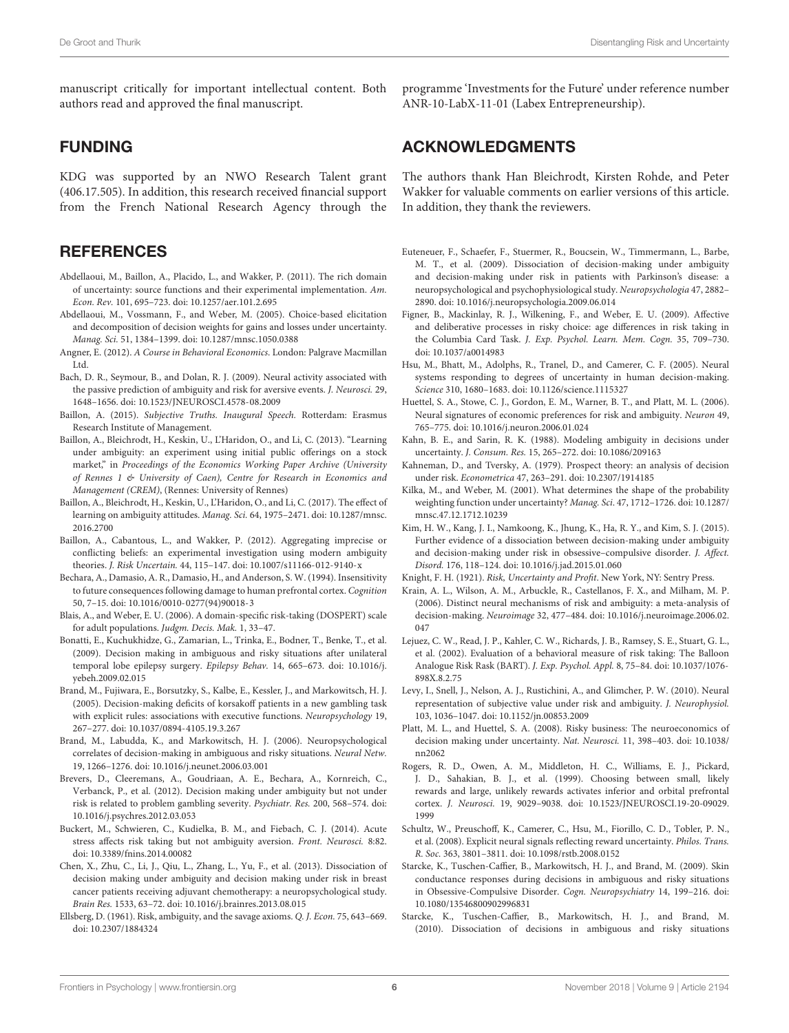manuscript critically for important intellectual content. Both authors read and approved the final manuscript.

#### FUNDING

KDG was supported by an NWO Research Talent grant (406.17.505). In addition, this research received financial support from the French National Research Agency through the

#### **REFERENCES**

- <span id="page-5-7"></span>Abdellaoui, M., Baillon, A., Placido, L., and Wakker, P. (2011). The rich domain of uncertainty: source functions and their experimental implementation. Am. Econ. Rev. 101, 695–723. [doi: 10.1257/aer.101.2.695](https://doi.org/10.1257/aer.101.2.695)
- <span id="page-5-6"></span>Abdellaoui, M., Vossmann, F., and Weber, M. (2005). Choice-based elicitation and decomposition of decision weights for gains and losses under uncertainty. Manag. Sci. 51, 1384–1399. [doi: 10.1287/mnsc.1050.0388](https://doi.org/10.1287/mnsc.1050.0388)
- <span id="page-5-29"></span>Angner, E. (2012). A Course in Behavioral Economics. London: Palgrave Macmillan Ltd.
- <span id="page-5-26"></span>Bach, D. R., Seymour, B., and Dolan, R. J. (2009). Neural activity associated with the passive prediction of ambiguity and risk for aversive events. J. Neurosci. 29, 1648–1656. [doi: 10.1523/JNEUROSCI.4578-08.2009](https://doi.org/10.1523/JNEUROSCI.4578-08.2009)
- <span id="page-5-11"></span>Baillon, A. (2015). Subjective Truths. Inaugural Speech. Rotterdam: Erasmus Research Institute of Management.
- <span id="page-5-9"></span>Baillon, A., Bleichrodt, H., Keskin, U., L'Haridon, O., and Li, C. (2013). "Learning under ambiguity: an experiment using initial public offerings on a stock market," in Proceedings of the Economics Working Paper Archive (University of Rennes 1 & University of Caen), Centre for Research in Economics and Management (CREM), (Rennes: University of Rennes)
- <span id="page-5-10"></span>Baillon, A., Bleichrodt, H., Keskin, U., L'Haridon, O., and Li, C. (2017). The effect of learning on ambiguity attitudes. Manag. Sci. 64, 1975–2471. [doi: 10.1287/mnsc.](https://doi.org/10.1287/mnsc.2016.2700) [2016.2700](https://doi.org/10.1287/mnsc.2016.2700)
- <span id="page-5-8"></span>Baillon, A., Cabantous, L., and Wakker, P. (2012). Aggregating imprecise or conflicting beliefs: an experimental investigation using modern ambiguity theories. J. Risk Uncertain. 44, 115–147. [doi: 10.1007/s11166-012-9140-x](https://doi.org/10.1007/s11166-012-9140-x)
- <span id="page-5-33"></span>Bechara, A., Damasio, A. R., Damasio, H., and Anderson, S. W. (1994). Insensitivity to future consequences following damage to human prefrontal cortex. Cognition 50, 7–15. [doi: 10.1016/0010-0277\(94\)90018-3](https://doi.org/10.1016/0010-0277(94)90018-3)
- <span id="page-5-0"></span>Blais, A., and Weber, E. U. (2006). A domain-specific risk-taking (DOSPERT) scale for adult populations. Judgm. Decis. Mak. 1, 33–47.
- <span id="page-5-14"></span>Bonatti, E., Kuchukhidze, G., Zamarian, L., Trinka, E., Bodner, T., Benke, T., et al. (2009). Decision making in ambiguous and risky situations after unilateral temporal lobe epilepsy surgery. Epilepsy Behav. 14, 665–673. [doi: 10.1016/j.](https://doi.org/10.1016/j.yebeh.2009.02.015) [yebeh.2009.02.015](https://doi.org/10.1016/j.yebeh.2009.02.015)
- <span id="page-5-31"></span>Brand, M., Fujiwara, E., Borsutzky, S., Kalbe, E., Kessler, J., and Markowitsch, H. J. (2005). Decision-making deficits of korsakoff patients in a new gambling task with explicit rules: associations with executive functions. Neuropsychology 19, 267–277. [doi: 10.1037/0894-4105.19.3.267](https://doi.org/10.1037/0894-4105.19.3.267)
- <span id="page-5-21"></span>Brand, M., Labudda, K., and Markowitsch, H. J. (2006). Neuropsychological correlates of decision-making in ambiguous and risky situations. Neural Netw. 19, 1266–1276. [doi: 10.1016/j.neunet.2006.03.001](https://doi.org/10.1016/j.neunet.2006.03.001)
- <span id="page-5-15"></span>Brevers, D., Cleeremans, A., Goudriaan, A. E., Bechara, A., Kornreich, C., Verbanck, P., et al. (2012). Decision making under ambiguity but not under risk is related to problem gambling severity. Psychiatr. Res. 200, 568–574. [doi:](https://doi.org/10.1016/j.psychres.2012.03.053) [10.1016/j.psychres.2012.03.053](https://doi.org/10.1016/j.psychres.2012.03.053)
- <span id="page-5-13"></span>Buckert, M., Schwieren, C., Kudielka, B. M., and Fiebach, C. J. (2014). Acute stress affects risk taking but not ambiguity aversion. Front. Neurosci. 8:82. [doi: 10.3389/fnins.2014.00082](https://doi.org/10.3389/fnins.2014.00082)
- <span id="page-5-16"></span>Chen, X., Zhu, C., Li, J., Qiu, L., Zhang, L., Yu, F., et al. (2013). Dissociation of decision making under ambiguity and decision making under risk in breast cancer patients receiving adjuvant chemotherapy: a neuropsychological study. Brain Res. 1533, 63–72. [doi: 10.1016/j.brainres.2013.08.015](https://doi.org/10.1016/j.brainres.2013.08.015)
- <span id="page-5-12"></span>Ellsberg, D. (1961). Risk, ambiguity, and the savage axioms. Q. J. Econ. 75, 643–669. [doi: 10.2307/1884324](https://doi.org/10.2307/1884324)

programme 'Investments for the Future' under reference number ANR-10-LabX-11-01 (Labex Entrepreneurship).

#### ACKNOWLEDGMENTS

The authors thank Han Bleichrodt, Kirsten Rohde, and Peter Wakker for valuable comments on earlier versions of this article. In addition, they thank the reviewers.

- <span id="page-5-20"></span>Euteneuer, F., Schaefer, F., Stuermer, R., Boucsein, W., Timmermann, L., Barbe, M. T., et al. (2009). Dissociation of decision-making under ambiguity and decision-making under risk in patients with Parkinson's disease: a neuropsychological and psychophysiological study. Neuropsychologia 47, 2882– 2890. [doi: 10.1016/j.neuropsychologia.2009.06.014](https://doi.org/10.1016/j.neuropsychologia.2009.06.014)
- <span id="page-5-32"></span>Figner, B., Mackinlay, R. J., Wilkening, F., and Weber, E. U. (2009). Affective and deliberative processes in risky choice: age differences in risk taking in the Columbia Card Task. J. Exp. Psychol. Learn. Mem. Cogn. 35, 709–730. [doi: 10.1037/a0014983](https://doi.org/10.1037/a0014983)
- <span id="page-5-27"></span>Hsu, M., Bhatt, M., Adolphs, R., Tranel, D., and Camerer, C. F. (2005). Neural systems responding to degrees of uncertainty in human decision-making. Science 310, 1680–1683. [doi: 10.1126/science.1115327](https://doi.org/10.1126/science.1115327)
- <span id="page-5-23"></span>Huettel, S. A., Stowe, C. J., Gordon, E. M., Warner, B. T., and Platt, M. L. (2006). Neural signatures of economic preferences for risk and ambiguity. Neuron 49, 765–775. [doi: 10.1016/j.neuron.2006.01.024](https://doi.org/10.1016/j.neuron.2006.01.024)
- <span id="page-5-4"></span>Kahn, B. E., and Sarin, R. K. (1988). Modeling ambiguity in decisions under uncertainty. J. Consum. Res. 15, 265–272. [doi: 10.1086/209163](https://doi.org/10.1086/209163)
- <span id="page-5-3"></span>Kahneman, D., and Tversky, A. (1979). Prospect theory: an analysis of decision under risk. Econometrica 47, 263–291. [doi: 10.2307/1914185](https://doi.org/10.2307/1914185)
- <span id="page-5-5"></span>Kilka, M., and Weber, M. (2001). What determines the shape of the probability weighting function under uncertainty? Manag. Sci. 47, 1712–1726. [doi: 10.1287/](https://doi.org/10.1287/mnsc.47.12.1712.10239) [mnsc.47.12.1712.10239](https://doi.org/10.1287/mnsc.47.12.1712.10239)
- <span id="page-5-19"></span>Kim, H. W., Kang, J. I., Namkoong, K., Jhung, K., Ha, R. Y., and Kim, S. J. (2015). Further evidence of a dissociation between decision-making under ambiguity and decision-making under risk in obsessive–compulsive disorder. J. Affect. Disord. 176, 118–124. [doi: 10.1016/j.jad.2015.01.060](https://doi.org/10.1016/j.jad.2015.01.060)

<span id="page-5-2"></span>Knight, F. H. (1921). Risk, Uncertainty and Profit. New York, NY: Sentry Press.

- <span id="page-5-24"></span>Krain, A. L., Wilson, A. M., Arbuckle, R., Castellanos, F. X., and Milham, M. P. (2006). Distinct neural mechanisms of risk and ambiguity: a meta-analysis of decision-making. Neuroimage 32, 477–484. [doi: 10.1016/j.neuroimage.2006.02.](https://doi.org/10.1016/j.neuroimage.2006.02.047) [047](https://doi.org/10.1016/j.neuroimage.2006.02.047)
- <span id="page-5-1"></span>Lejuez, C. W., Read, J. P., Kahler, C. W., Richards, J. B., Ramsey, S. E., Stuart, G. L., et al. (2002). Evaluation of a behavioral measure of risk taking: The Balloon Analogue Risk Rask (BART). J. Exp. Psychol. Appl. 8, 75–84. [doi: 10.1037/1076-](https://doi.org/10.1037/1076-898X.8.2.75) [898X.8.2.75](https://doi.org/10.1037/1076-898X.8.2.75)
- <span id="page-5-28"></span>Levy, I., Snell, J., Nelson, A. J., Rustichini, A., and Glimcher, P. W. (2010). Neural representation of subjective value under risk and ambiguity. J. Neurophysiol. 103, 1036–1047. [doi: 10.1152/jn.00853.2009](https://doi.org/10.1152/jn.00853.2009)
- <span id="page-5-25"></span>Platt, M. L., and Huettel, S. A. (2008). Risky business: The neuroeconomics of decision making under uncertainty. Nat. Neurosci. 11, 398–403. [doi: 10.1038/](https://doi.org/10.1038/nn2062) [nn2062](https://doi.org/10.1038/nn2062)
- <span id="page-5-30"></span>Rogers, R. D., Owen, A. M., Middleton, H. C., Williams, E. J., Pickard, J. D., Sahakian, B. J., et al. (1999). Choosing between small, likely rewards and large, unlikely rewards activates inferior and orbital prefrontal cortex. J. Neurosci. 19, 9029–9038. [doi: 10.1523/JNEUROSCI.19-20-09029.](https://doi.org/10.1523/JNEUROSCI.19-20-09029.1999) [1999](https://doi.org/10.1523/JNEUROSCI.19-20-09029.1999)
- <span id="page-5-22"></span>Schultz, W., Preuschoff, K., Camerer, C., Hsu, M., Fiorillo, C. D., Tobler, P. N., et al. (2008). Explicit neural signals reflecting reward uncertainty. Philos. Trans. R. Soc. 363, 3801–3811. [doi: 10.1098/rstb.2008.0152](https://doi.org/10.1098/rstb.2008.0152)
- <span id="page-5-17"></span>Starcke, K., Tuschen-Caffier, B., Markowitsch, H. J., and Brand, M. (2009). Skin conductance responses during decisions in ambiguous and risky situations in Obsessive-Compulsive Disorder. Cogn. Neuropsychiatry 14, 199–216. [doi:](https://doi.org/10.1080/13546800902996831) [10.1080/13546800902996831](https://doi.org/10.1080/13546800902996831)
- <span id="page-5-18"></span>Starcke, K., Tuschen-Caffier, B., Markowitsch, H. J., and Brand, M. (2010). Dissociation of decisions in ambiguous and risky situations